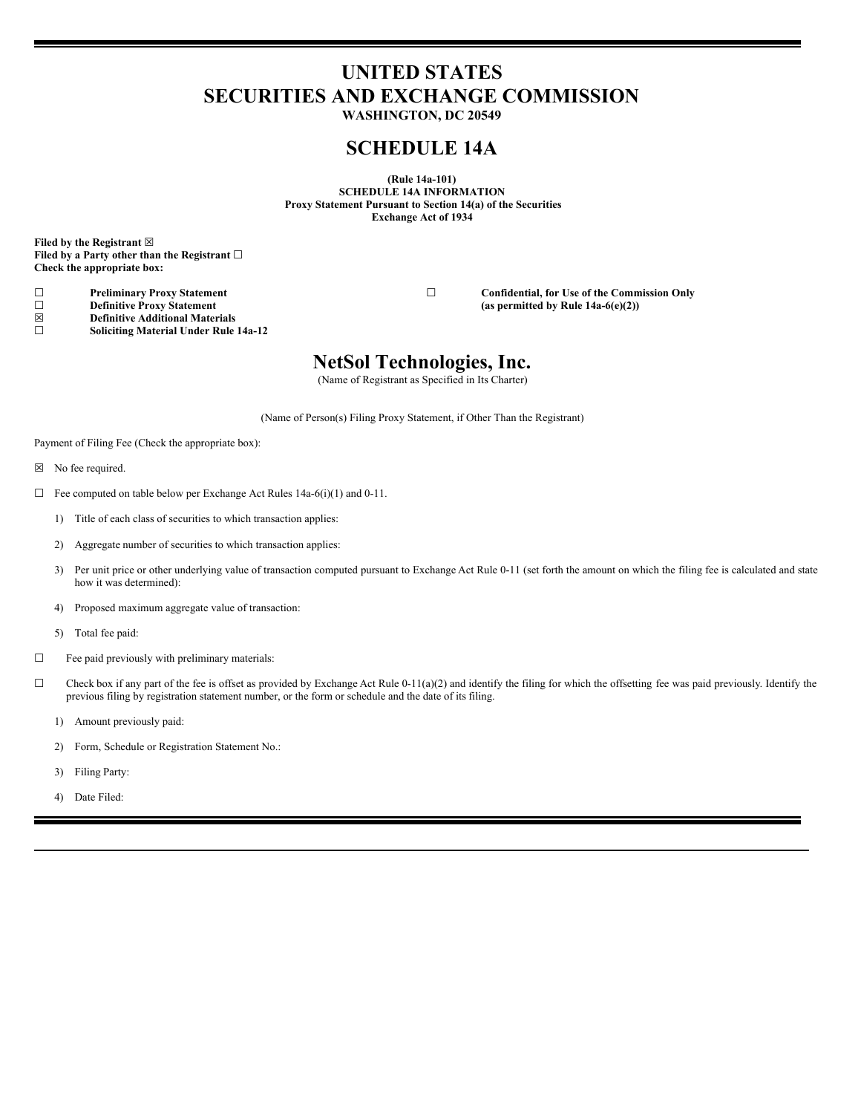# **UNITED STATES SECURITIES AND EXCHANGE COMMISSION**

**WASHINGTON, DC 20549**

### **SCHEDULE 14A**

**(Rule 14a-101) SCHEDULE 14A INFORMATION Proxy Statement Pursuant to Section 14(a) of the Securities Exchange Act of 1934**

**Filed by the Registrant ☒ Filed by a Party other than the Registrant ☐ Check the appropriate box:**

☐ **Definitive Proxy Statement (as permitted by Rule 14a-6(e)(2))**

☒ **Definitive Additional Materials** ☐ **Soliciting Material Under Rule 14a-12**

☐ **Preliminary Proxy Statement** ☐ **Confidential, for Use of the Commission Only**

## **NetSol Technologies, Inc.**

(Name of Registrant as Specified in Its Charter)

(Name of Person(s) Filing Proxy Statement, if Other Than the Registrant)

Payment of Filing Fee (Check the appropriate box):

- ☒ No fee required.
- ☐ Fee computed on table below per Exchange Act Rules 14a-6(i)(1) and 0-11.
	- 1) Title of each class of securities to which transaction applies:
	- 2) Aggregate number of securities to which transaction applies:
	- 3) Per unit price or other underlying value of transaction computed pursuant to Exchange Act Rule 0-11 (set forth the amount on which the filing fee is calculated and state how it was determined):
	- 4) Proposed maximum aggregate value of transaction:
	- 5) Total fee paid:
- ☐ Fee paid previously with preliminary materials:
- $\Box$  Check box if any part of the fee is offset as provided by Exchange Act Rule 0-11(a)(2) and identify the filing for which the offsetting fee was paid previously. Identify the previous filing by registration statement number, or the form or schedule and the date of its filing.
	- 1) Amount previously paid:
	- 2) Form, Schedule or Registration Statement No.:
	- 3) Filing Party:
	- 4) Date Filed: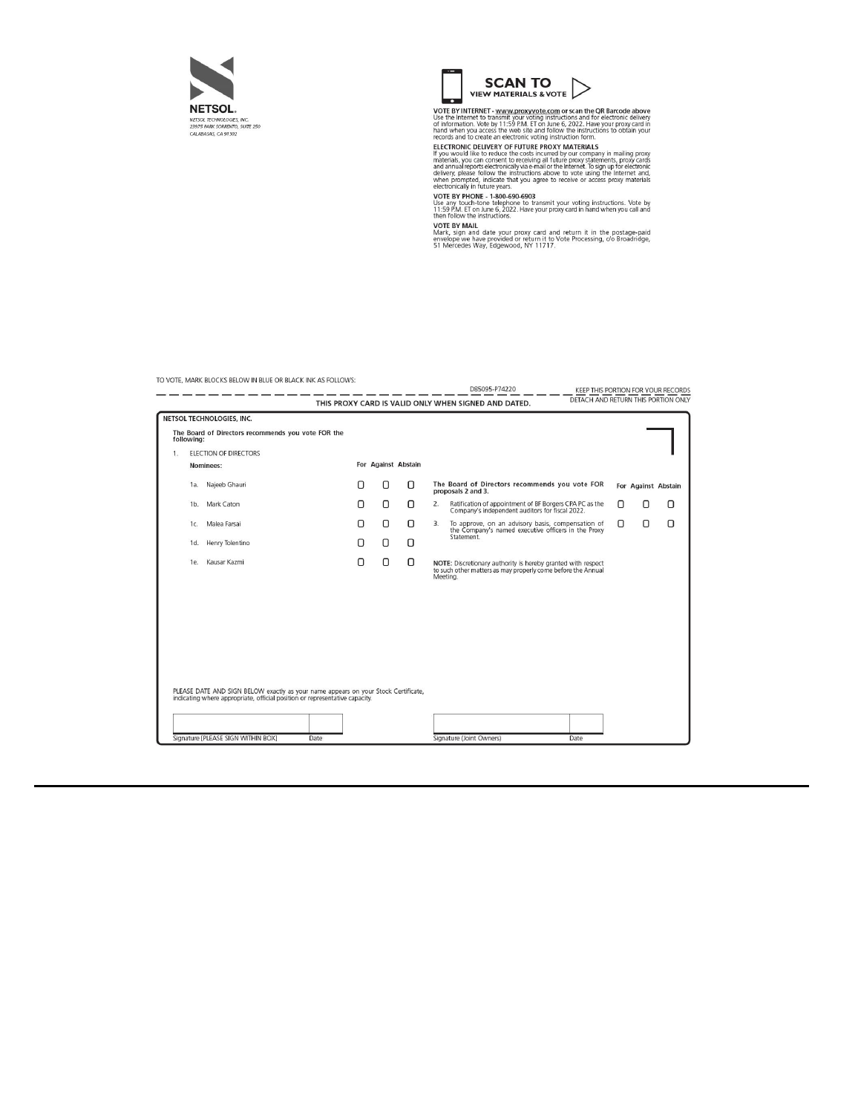



VOTE BY INTERNET - www.proxyvote.com or scan the OR Barcode above<br>UGTE BY INTERNET - www.proxyvote.com or scan the OR Barcode above<br>of information. Vote by 111-50 PM, CIT of listing 5.2022. Have electronic delivery<br>of info

eccommany in rundle years.<br>
VOTE BY PHONE - 1-800-690-6903<br>
Use any touch-tone telephone to transmit your voting instructions. Vote by<br>
11:59 PM. ET on June 6, 2022. Have your proxy card in hand when you call and<br>
then fol

When Your Britannian Marcocons.<br>
Mark, sign and date your proxy card and return it in the postage-paid<br>
envelope we have provided or return it to Vote Processing, c/o Broadridge,<br>
51 Mercedes Way, Edgewood, NY 11717.

TO VOTE, MARK BLOCKS BELOW IN BLUE OR BLACK INK AS FOLLOWS: 

|    |                              |                                                                                                                                                                   |   |                     |   | THIS PROXY CARD IS VALID ONLY WHEN SIGNED AND DATED.<br>אחס מוסחתוס ו כוודו ממוסח שמות והסתום ש                                          |   |                     |   |
|----|------------------------------|-------------------------------------------------------------------------------------------------------------------------------------------------------------------|---|---------------------|---|------------------------------------------------------------------------------------------------------------------------------------------|---|---------------------|---|
|    |                              | NETSOL TECHNOLOGIES, INC.                                                                                                                                         |   |                     |   |                                                                                                                                          |   |                     |   |
|    | following:                   | The Board of Directors recommends you vote FOR the                                                                                                                |   |                     |   |                                                                                                                                          |   |                     |   |
| 1. | <b>ELECTION OF DIRECTORS</b> |                                                                                                                                                                   |   |                     |   |                                                                                                                                          |   |                     |   |
|    | Nominees:                    |                                                                                                                                                                   |   | For Against Abstain |   |                                                                                                                                          |   |                     |   |
|    | 1a.                          | Najeeb Ghauri                                                                                                                                                     | O | 0                   | 0 | The Board of Directors recommends you vote FOR<br>proposals 2 and 3.                                                                     |   | For Against Abstain |   |
|    | 1 <sub>b</sub>               | Mark Caton                                                                                                                                                        | Ο | 0                   | 0 | Ratification of appointment of BF Borgers CPA PC as the<br>2.<br>Company's independent auditors for fiscal 2022.                         | Ο | Ο                   | Π |
|    | 1c.                          | Malea Farsai                                                                                                                                                      | Π | 0                   | 0 | 3.<br>To approve, on an advisory basis, compensation of<br>the Company's named executive officers in the Proxy                           | 0 | $\Box$              | n |
|    | 1d.                          | Henry Tolentino                                                                                                                                                   | Π | О                   | Ο | Statement.                                                                                                                               |   |                     |   |
|    | 1e                           | Kausar Kazmi                                                                                                                                                      | 0 | 0                   | 0 | NOTE: Discretionary authority is hereby granted with respect<br>to such other matters as may properly come before the Annual<br>Meeting. |   |                     |   |
|    |                              |                                                                                                                                                                   |   |                     |   |                                                                                                                                          |   |                     |   |
|    |                              |                                                                                                                                                                   |   |                     |   |                                                                                                                                          |   |                     |   |
|    |                              |                                                                                                                                                                   |   |                     |   |                                                                                                                                          |   |                     |   |
|    |                              |                                                                                                                                                                   |   |                     |   |                                                                                                                                          |   |                     |   |
|    |                              |                                                                                                                                                                   |   |                     |   |                                                                                                                                          |   |                     |   |
|    |                              | PLEASE DATE AND SIGN BELOW exactly as your name appears on your Stock Certificate,<br>indicating where appropriate, official position or representative capacity. |   |                     |   |                                                                                                                                          |   |                     |   |
|    |                              |                                                                                                                                                                   |   |                     |   |                                                                                                                                          |   |                     |   |
|    |                              |                                                                                                                                                                   |   |                     |   |                                                                                                                                          |   |                     |   |
|    |                              | Signature [PLEASE SIGN WITHIN BOX]<br>Date                                                                                                                        |   |                     |   | Signature (Joint Owners)<br>Date                                                                                                         |   |                     |   |